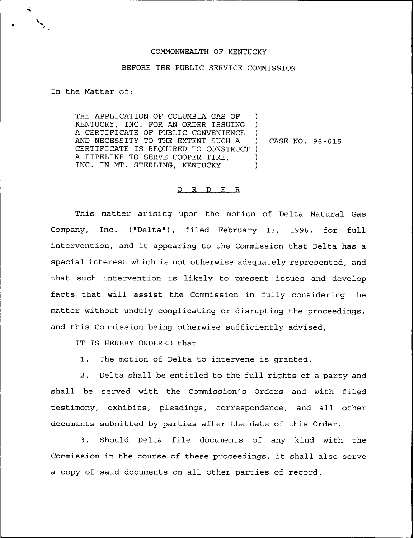## COMMONWEALTH OF KENTUCKY

## BEFORE THE PUBLIC SERVICE COMMISSION

In the Matter of:

THE APPLICATION OF COLUMBIA GAS OF KENTUCKY, INC. FOR AN ORDER ISSUING A CERTIFICATE OF PUBLIC CONVENIENCE AND NECESSITY TO THE EXTENT SUCH A CERTIFICATE IS REQUIRED TO CONSTRUCT ) A PIPELINE TO SERVE COOPER TIRE, INC. IN MT. STERLING, KENTUCKY ) ) ) ) CASE NO. 96-015 ) )

## 0 R <sup>D</sup> E R

This matter arising upon the motion of Delta Natural Gas Company, Inc. ("Delta"), filed February 13, 1996, for full intervention, and it appearing to the Commission that Delta has <sup>a</sup> special interest which is not otherwise adequately represented, and that such intervention is likely to present issues and develop facts that will assist the Commission in fully considering the matter without unduly complicating or disrupting the proceedings, and this Commission being otherwise sufficiently advised,

IT IS HEREBY ORDERED that:

1. The motion of Delta to intervene is granted.

2. Delta shall be entitled to the full rights of a party and shall be served with the Commission's Orders and with filed testimony, exhibits, pleadings, correspondence, and all other documents submitted by parties after the date of this Order.

3. Should Delta file documents of any kind with the Commission in the course of these proceedings, it shall also serve a copy of said documents on all other parties of record.